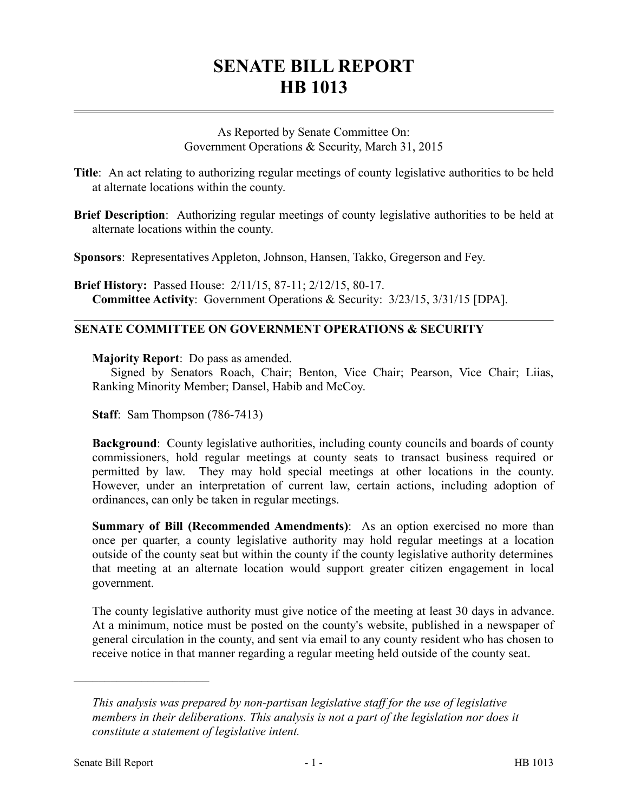# **SENATE BILL REPORT HB 1013**

As Reported by Senate Committee On: Government Operations & Security, March 31, 2015

- **Title**: An act relating to authorizing regular meetings of county legislative authorities to be held at alternate locations within the county.
- **Brief Description**: Authorizing regular meetings of county legislative authorities to be held at alternate locations within the county.

**Sponsors**: Representatives Appleton, Johnson, Hansen, Takko, Gregerson and Fey.

**Brief History:** Passed House: 2/11/15, 87-11; 2/12/15, 80-17. **Committee Activity**: Government Operations & Security: 3/23/15, 3/31/15 [DPA].

# **SENATE COMMITTEE ON GOVERNMENT OPERATIONS & SECURITY**

**Majority Report**: Do pass as amended.

Signed by Senators Roach, Chair; Benton, Vice Chair; Pearson, Vice Chair; Liias, Ranking Minority Member; Dansel, Habib and McCoy.

**Staff**: Sam Thompson (786-7413)

**Background**: County legislative authorities, including county councils and boards of county commissioners, hold regular meetings at county seats to transact business required or permitted by law. They may hold special meetings at other locations in the county. However, under an interpretation of current law, certain actions, including adoption of ordinances, can only be taken in regular meetings.

**Summary of Bill (Recommended Amendments)**: As an option exercised no more than once per quarter, a county legislative authority may hold regular meetings at a location outside of the county seat but within the county if the county legislative authority determines that meeting at an alternate location would support greater citizen engagement in local government.

The county legislative authority must give notice of the meeting at least 30 days in advance. At a minimum, notice must be posted on the county's website, published in a newspaper of general circulation in the county, and sent via email to any county resident who has chosen to receive notice in that manner regarding a regular meeting held outside of the county seat.

––––––––––––––––––––––

*This analysis was prepared by non-partisan legislative staff for the use of legislative members in their deliberations. This analysis is not a part of the legislation nor does it constitute a statement of legislative intent.*